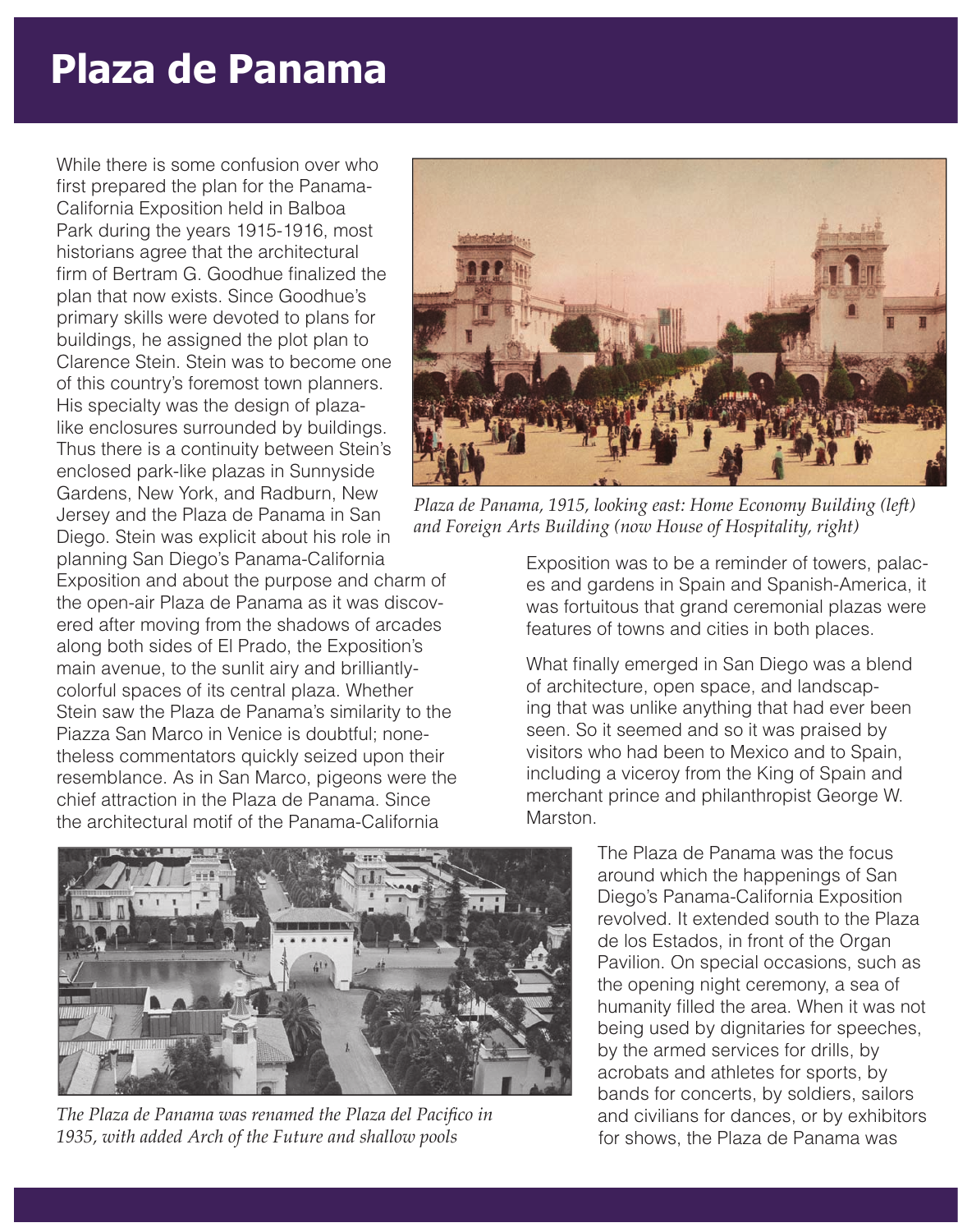## **Plaza de Panama**

While there is some confusion over who first prepared the plan for the Panama-California Exposition held in Balboa Park during the years 1915-1916, most historians agree that the architectural firm of Bertram G. Goodhue finalized the plan that now exists. Since Goodhue's primary skills were devoted to plans for buildings, he assigned the plot plan to Clarence Stein. Stein was to become one of this country's foremost town planners. His specialty was the design of plazalike enclosures surrounded by buildings. Thus there is a continuity between Stein's enclosed park-like plazas in Sunnyside Gardens, New York, and Radburn, New Jersey and the Plaza de Panama in San Diego. Stein was explicit about his role in planning San Diego's Panama-California Exposition and about the purpose and charm of

the open-air Plaza de Panama as it was discovered after moving from the shadows of arcades along both sides of El Prado, the Exposition's main avenue, to the sunlit airy and brilliantlycolorful spaces of its central plaza. Whether Stein saw the Plaza de Panama's similarity to the Piazza San Marco in Venice is doubtful; nonetheless commentators quickly seized upon their resemblance. As in San Marco, pigeons were the chief attraction in the Plaza de Panama. Since the architectural motif of the Panama-California



*The Plaza de Panama was renamed the Plaza del Pacifico in 1935, with added Arch of the Future and shallow pools*



*Plaza de Panama, 1915, looking east: Home Economy Building (left) and Foreign Arts Building (now House of Hospitality, right)*

Exposition was to be a reminder of towers, palaces and gardens in Spain and Spanish-America, it was fortuitous that grand ceremonial plazas were features of towns and cities in both places.

What finally emerged in San Diego was a blend of architecture, open space, and landscaping that was unlike anything that had ever been seen. So it seemed and so it was praised by visitors who had been to Mexico and to Spain, including a viceroy from the King of Spain and merchant prince and philanthropist George W. Marston.

> The Plaza de Panama was the focus around which the happenings of San Diego's Panama-California Exposition revolved. It extended south to the Plaza de los Estados, in front of the Organ Pavilion. On special occasions, such as the opening night ceremony, a sea of humanity filled the area. When it was not being used by dignitaries for speeches, by the armed services for drills, by acrobats and athletes for sports, by bands for concerts, by soldiers, sailors and civilians for dances, or by exhibitors for shows, the Plaza de Panama was